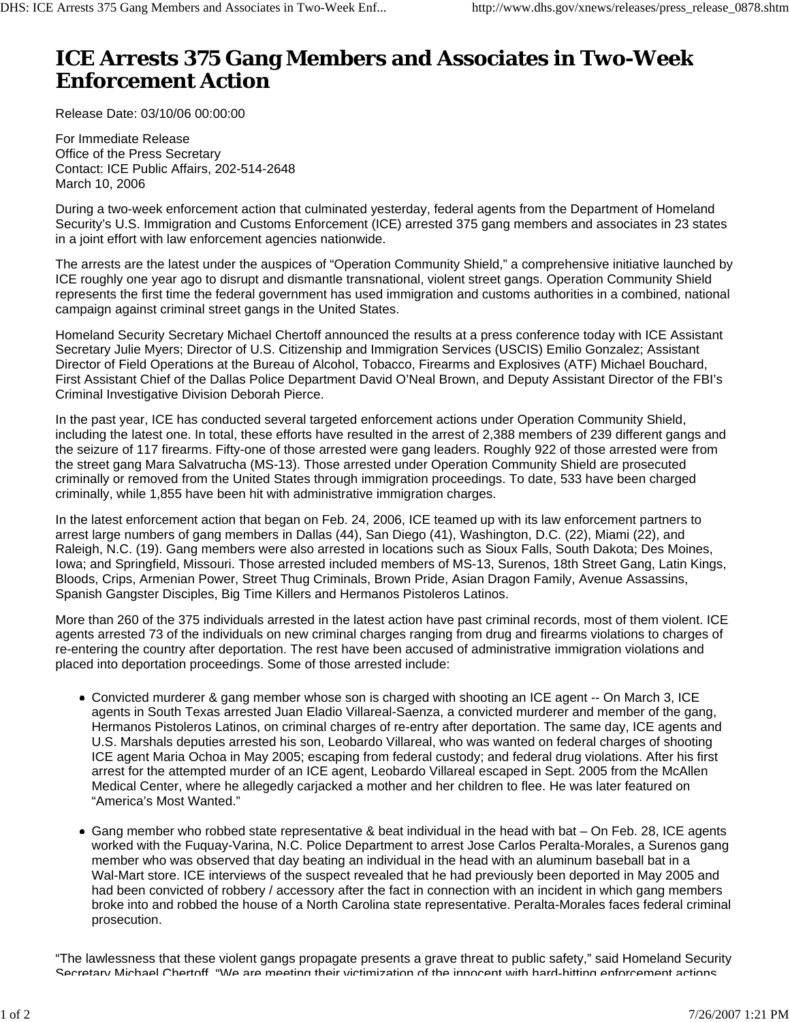## **ICE Arrests 375 Gang Members and Associates in Two-Week Enforcement Action**

Release Date: 03/10/06 00:00:00

For Immediate Release Office of the Press Secretary Contact: ICE Public Affairs, 202-514-2648 March 10, 2006

During a two-week enforcement action that culminated yesterday, federal agents from the Department of Homeland Security's U.S. Immigration and Customs Enforcement (ICE) arrested 375 gang members and associates in 23 states in a joint effort with law enforcement agencies nationwide.

The arrests are the latest under the auspices of "Operation Community Shield," a comprehensive initiative launched by ICE roughly one year ago to disrupt and dismantle transnational, violent street gangs. Operation Community Shield represents the first time the federal government has used immigration and customs authorities in a combined, national campaign against criminal street gangs in the United States.

Homeland Security Secretary Michael Chertoff announced the results at a press conference today with ICE Assistant Secretary Julie Myers; Director of U.S. Citizenship and Immigration Services (USCIS) Emilio Gonzalez; Assistant Director of Field Operations at the Bureau of Alcohol, Tobacco, Firearms and Explosives (ATF) Michael Bouchard, First Assistant Chief of the Dallas Police Department David O'Neal Brown, and Deputy Assistant Director of the FBI's Criminal Investigative Division Deborah Pierce.

In the past year, ICE has conducted several targeted enforcement actions under Operation Community Shield, including the latest one. In total, these efforts have resulted in the arrest of 2,388 members of 239 different gangs and the seizure of 117 firearms. Fifty-one of those arrested were gang leaders. Roughly 922 of those arrested were from the street gang Mara Salvatrucha (MS-13). Those arrested under Operation Community Shield are prosecuted criminally or removed from the United States through immigration proceedings. To date, 533 have been charged criminally, while 1,855 have been hit with administrative immigration charges.

In the latest enforcement action that began on Feb. 24, 2006, ICE teamed up with its law enforcement partners to arrest large numbers of gang members in Dallas (44), San Diego (41), Washington, D.C. (22), Miami (22), and Raleigh, N.C. (19). Gang members were also arrested in locations such as Sioux Falls, South Dakota; Des Moines, Iowa; and Springfield, Missouri. Those arrested included members of MS-13, Surenos, 18th Street Gang, Latin Kings, Bloods, Crips, Armenian Power, Street Thug Criminals, Brown Pride, Asian Dragon Family, Avenue Assassins, Spanish Gangster Disciples, Big Time Killers and Hermanos Pistoleros Latinos.

More than 260 of the 375 individuals arrested in the latest action have past criminal records, most of them violent. ICE agents arrested 73 of the individuals on new criminal charges ranging from drug and firearms violations to charges of re-entering the country after deportation. The rest have been accused of administrative immigration violations and placed into deportation proceedings. Some of those arrested include:

- Convicted murderer & gang member whose son is charged with shooting an ICE agent -- On March 3, ICE agents in South Texas arrested Juan Eladio Villareal-Saenza, a convicted murderer and member of the gang, Hermanos Pistoleros Latinos, on criminal charges of re-entry after deportation. The same day, ICE agents and U.S. Marshals deputies arrested his son, Leobardo Villareal, who was wanted on federal charges of shooting ICE agent Maria Ochoa in May 2005; escaping from federal custody; and federal drug violations. After his first arrest for the attempted murder of an ICE agent, Leobardo Villareal escaped in Sept. 2005 from the McAllen Medical Center, where he allegedly carjacked a mother and her children to flee. He was later featured on "America's Most Wanted."
- Gang member who robbed state representative & beat individual in the head with bat On Feb. 28, ICE agents worked with the Fuquay-Varina, N.C. Police Department to arrest Jose Carlos Peralta-Morales, a Surenos gang member who was observed that day beating an individual in the head with an aluminum baseball bat in a Wal-Mart store. ICE interviews of the suspect revealed that he had previously been deported in May 2005 and had been convicted of robbery / accessory after the fact in connection with an incident in which gang members broke into and robbed the house of a North Carolina state representative. Peralta-Morales faces federal criminal prosecution.

"The lawlessness that these violent gangs propagate presents a grave threat to public safety," said Homeland Security Secretary Michael Chertoff "We are meeting their victimization of the innocent with hard-hitting enforcement actions